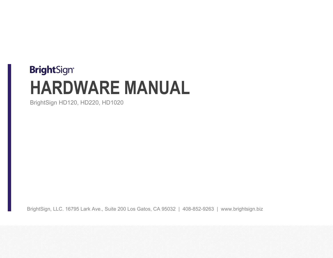# **BrightSign® HARDWARE MANUAL**

BrightSign HD120, HD220, HD1020

BrightSign, LLC. 16795 Lark Ave., Suite 200 Los Gatos, CA 95032 | 408-852-9263 | www.brightsign.biz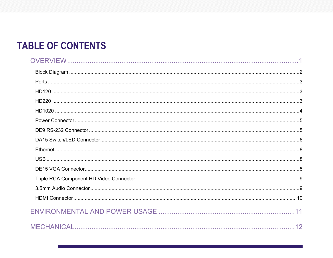# **TABLE OF CONTENTS**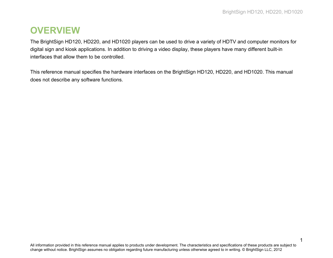# <span id="page-3-0"></span>**OVERVIEW**

The BrightSign HD120, HD220, and HD1020 players can be used to drive a variety of HDTV and computer monitors for digital sign and kiosk applications. In addition to driving a video display, these players have many different built-in interfaces that allow them to be controlled.

This reference manual specifies the hardware interfaces on the BrightSign HD120, HD220, and HD1020. This manual does not describe any software functions.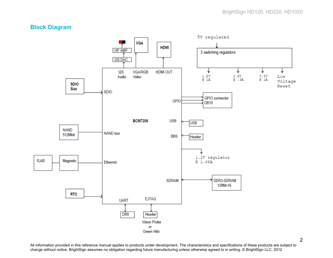# <span id="page-4-0"></span>**Block Diagram**



All information provided in this reference manual applies to products under development. The characteristics and specifications of these products are subject to change without notice. BrightSign assumes no obligation regarding future manufacturing unless otherwise agreed to in writing. © BrightSign LLC, 2012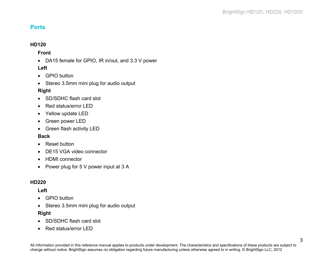3

# <span id="page-5-0"></span>**Ports**

## <span id="page-5-1"></span>**HD120**

### **Front**

• DA15 female for GPIO, IR in/out, and 3.3 V power

# **Left**

- GPIO button
- Stereo 3.5mm mini plug for audio output

# **Right**

- SD/SDHC flash card slot
- Red status/error LED
- Yellow update LED
- Green power LED
- Green flash activity LED

#### **Back**

- Reset button
- DE15 VGA video connector
- HDMI connector
- Power plug for 5 V power input at 3 A

#### <span id="page-5-2"></span>**HD220**

#### **Left**

- GPIO button
- Stereo 3.5mm mini plug for audio output

# **Right**

- SD/SDHC flash card slot
- Red status/error LED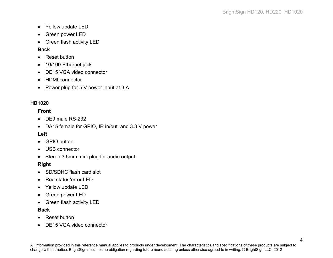4

- Yellow update LED
- Green power LED
- Green flash activity LED

### **Back**

- Reset button
- 10/100 Ethernet jack
- DE15 VGA video connector
- HDMI connector
- Power plug for 5 V power input at 3 A

#### <span id="page-6-0"></span>**HD1020**

## **Front**

- DE9 male RS-232
- DA15 female for GPIO, IR in/out, and 3.3 V power

# **Left**

- GPIO button
- USB connector
- Stereo 3.5mm mini plug for audio output

# **Right**

- SD/SDHC flash card slot
- Red status/error LED
- Yellow update LED
- Green power LED
- Green flash activity LED

#### **Back**

- Reset button
- DE15 VGA video connector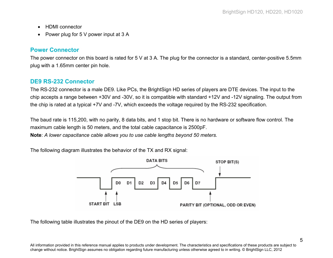- HDMI connector
- Power plug for 5 V power input at 3 A

# <span id="page-7-0"></span>**Power Connector**

The power connector on this board is rated for 5 V at 3 A. The plug for the connector is a standard, center-positive 5.5mm plug with a 1.65mm center pin hole.

# <span id="page-7-1"></span>**DE9 RS-232 Connector**

The RS-232 connector is a male DE9. Like PCs, the BrightSign HD series of players are DTE devices. The input to the chip accepts a range between +30V and -30V, so it is compatible with standard +12V and -12V signaling. The output from the chip is rated at a typical +7V and -7V, which exceeds the voltage required by the RS-232 specification.

The baud rate is 115,200, with no parity, 8 data bits, and 1 stop bit. There is no hardware or software flow control. The maximum cable length is 50 meters, and the total cable capacitance is 2500pF.

**Note**: *A lower capacitance cable allows you to use cable lengths beyond 50 meters.*

The following diagram illustrates the behavior of the TX and RX signal:



The following table illustrates the pinout of the DE9 on the HD series of players: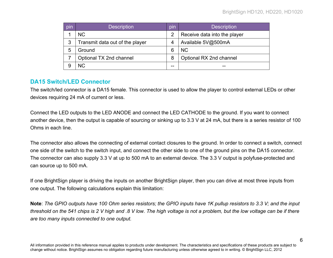| pin | <b>Description</b>                                         | pin            | <b>Description</b>           |
|-----|------------------------------------------------------------|----------------|------------------------------|
|     | <b>NC</b>                                                  | $\overline{2}$ | Receive data into the player |
| 3   | Available 5V@500mA<br>Transmit data out of the player<br>4 |                |                              |
| 5   | <b>NC</b><br>6<br>Ground                                   |                |                              |
|     | Optional TX 2nd channel                                    | 8              | Optional RX 2nd channel      |
|     | <b>NC</b>                                                  | --             | --                           |

# <span id="page-8-0"></span>**DA15 Switch/LED Connector**

The switch/led connector is a DA15 female. This connector is used to allow the player to control external LEDs or other devices requiring 24 mA of current or less.

Connect the LED outputs to the LED ANODE and connect the LED CATHODE to the ground. If you want to connect another device, then the output is capable of sourcing or sinking up to 3.3 V at 24 mA, but there is a series resistor of 100 Ohms in each line.

The connector also allows the connecting of external contact closures to the ground. In order to connect a switch, connect one side of the switch to the switch input, and connect the other side to one of the ground pins on the DA15 connector. The connector can also supply 3.3 V at up to 500 mA to an external device. The 3.3 V output is polyfuse-protected and can source up to 500 mA.

If one BrightSign player is driving the inputs on another BrightSign player, then you can drive at most three inputs from one output. The following calculations explain this limitation:

**Note**: *The GPIO outputs have 100 Ohm series resistors; the GPIO inputs have 1K pullup resistors to 3.3 V; and the input threshold on the 541 chips is 2 V high and .8 V low. The high voltage is not a problem, but the low voltage can be if there are too many inputs connected to one output.*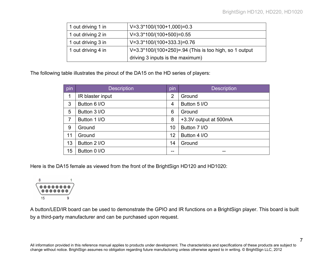| 1 out driving 1 in | $V=3.3*100/(100+1,000)=0.3$                            |
|--------------------|--------------------------------------------------------|
| 1 out driving 2 in | $V=3.3*100/(100+500)=0.55$                             |
| 1 out driving 3 in | $V=3.3*100/(100+333.3)=0.76$                           |
| 1 out driving 4 in | V=3.3*100/(100+250)=.94 (This is too high, so 1 output |
|                    | driving 3 inputs is the maximum)                       |

The following table illustrates the pinout of the DA15 on the HD series of players:

| pin               | <b>Description</b>           | pin            | <b>Description</b>    |  |
|-------------------|------------------------------|----------------|-----------------------|--|
|                   | IR blaster input             | $\overline{2}$ | Ground                |  |
| 3<br>Button 6 I/O |                              | 4              | Button 5 I/O          |  |
| 5<br>Button 3 I/O |                              | 6              | Ground                |  |
| 7                 | Button 1 I/O                 |                | +3.3V output at 500mA |  |
| 9<br>Ground       |                              | 10             | Button 7 I/O          |  |
| 11                | Ground                       | 12             | Button 4 I/O          |  |
| 13                | Button 2 I/O<br>14<br>Ground |                |                       |  |
| 15                | Button 0 I/O                 | --             |                       |  |

Here is the DA15 female as viewed from the front of the BrightSign HD120 and HD1020:



A button/LED/IR board can be used to demonstrate the GPIO and IR functions on a BrightSign player. This board is built by a third-party manufacturer and can be purchased upon request.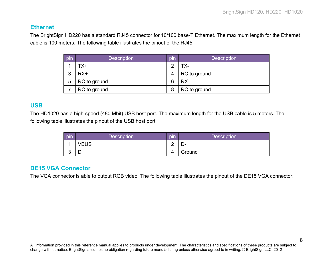# <span id="page-10-0"></span>**Ethernet**

The BrightSign HD220 has a standard RJ45 connector for 10/100 base-T Ethernet. The maximum length for the Ethernet cable is 100 meters. The following table illustrates the pinout of the RJ45:

| pin    | <b>Description</b> | pin            | <b>Description</b> |
|--------|--------------------|----------------|--------------------|
|        | TX+                | $\mathcal{P}$  | TX-                |
| ົ<br>J | $RX+$              | RC to ground   |                    |
| 5      | RC to ground       | <b>RX</b><br>6 |                    |
|        | RC to ground       | 8              | RC to ground       |

# <span id="page-10-1"></span>**USB**

The HD1020 has a high-speed (480 Mbit) USB host port. The maximum length for the USB cable is 5 meters. The following table illustrates the pinout of the USB host port.

| pin    | Description <sup>1</sup> | pin             | <b>Description</b> |
|--------|--------------------------|-----------------|--------------------|
|        | <b>VBUS</b>              | $\sqrt{2}$<br>_ | – ب                |
| $\sim$ | D+                       | Δ               | Ground             |

# <span id="page-10-2"></span>**DE15 VGA Connector**

The VGA connector is able to output RGB video. The following table illustrates the pinout of the DE15 VGA connector: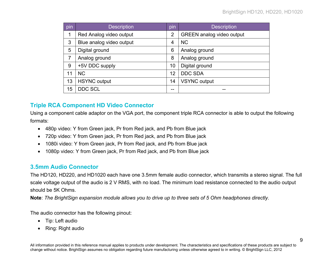| pin                                       | <b>Description</b>                         | pin            | <b>Description</b>               |
|-------------------------------------------|--------------------------------------------|----------------|----------------------------------|
| 1                                         | Red Analog video output                    | $\overline{2}$ | <b>GREEN</b> analog video output |
| 3                                         | Blue analog video output<br><b>NC</b><br>4 |                |                                  |
| 5<br>Digital ground<br>6<br>Analog ground |                                            |                |                                  |
| 7                                         | Analog ground<br>Analog ground<br>8        |                |                                  |
| 9                                         | +5V DDC supply<br>Digital ground<br>10     |                |                                  |
| 11                                        | <b>NC</b>                                  | 12             | <b>DDC SDA</b>                   |
| 13                                        | <b>HSYNC</b> output                        | 14             | <b>VSYNC output</b>              |
| 15                                        | <b>DDC SCL</b>                             | --             |                                  |

# <span id="page-11-0"></span>**Triple RCA Component HD Video Connector**

Using a component cable adaptor on the VGA port, the component triple RCA connector is able to output the following formats:

- 480p video: Y from Green jack, Pr from Red jack, and Pb from Blue jack
- 720p video: Y from Green jack, Pr from Red jack, and Pb from Blue jack
- 1080i video: Y from Green jack, Pr from Red jack, and Pb from Blue jack
- 1080p video: Y from Green jack, Pr from Red jack, and Pb from Blue jack

# <span id="page-11-1"></span>**3.5mm Audio Connector**

The HD120, HD220, and HD1020 each have one 3.5mm female audio connector, which transmits a stereo signal. The full scale voltage output of the audio is 2 V RMS, with no load. The minimum load resistance connected to the audio output should be 5K Ohms.

**Note**: *The BrightSign expansion module allows you to drive up to three sets of 5 Ohm headphones directly.*

The audio connector has the following pinout:

- Tip: Left audio
- Ring: Right audio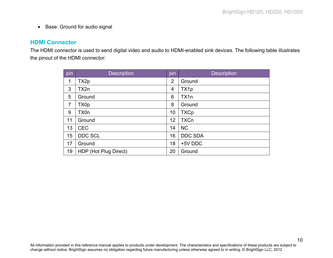10

• Base: Ground for audio signal

## <span id="page-12-0"></span>**HDMI Connector**

The HDMI connector is used to send digital video and audio to HDMI-enabled sink devices. The following table illustrates the pinout of the HDMI connector:

| pin            | <b>Description</b>    | pin            | <b>Description</b> |
|----------------|-----------------------|----------------|--------------------|
| 1              | TX2p                  | $\overline{2}$ | Ground             |
| 3              | TX2n                  | 4              | TX1p               |
| 5              | Ground                | 6              | TX1n               |
| $\overline{7}$ | TX0p                  | 8              | Ground             |
| 9              | TX0n                  | 10             | <b>TXCp</b>        |
| 11             | Ground                | 12             | <b>TXCn</b>        |
| 13             | <b>CEC</b>            | 14             | <b>NC</b>          |
| 15             | DDC SCL               | 16             | <b>DDC SDA</b>     |
| 17             | Ground                | 18             | +5V DDC            |
| 19             | HDP (Hot Plug Direct) | 20             | Ground             |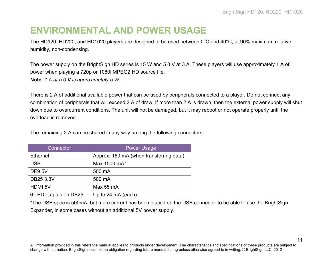# <span id="page-13-0"></span>**ENVIRONMENTAL AND POWER USAGE**

The HD120, HD220, and HD1020 players are designed to be used between 0°C and 40°C, at 90% maximum relative humidity, non-condensing.

The power supply on the BrightSign HD series is 15 W and 5.0 V at 3 A. These players will use approximately 1 A of power when playing a 720p or 1080i MPEG2 HD source file. **Note**: *1 A at 5.0 V is approximately 5 W.*

There is 2 A of additional available power that can be used by peripherals connected to a player. Do not connect any combination of peripherals that will exceed 2 A of draw. If more than 2 A is drawn, then the external power supply will shut down due to overcurrent conditions. The unit will not be damaged, but it may reboot or not operate properly until the overload is removed.

| Connector             | <b>Power Usage</b>                      |
|-----------------------|-----------------------------------------|
| Ethernet              | Approx. 180 mA (when transferring data) |
| <b>USB</b>            | Max 1500 mA*                            |
| <b>DE9 5V</b>         | 500 mA                                  |
| DB25 3.3V             | 500 mA                                  |
| <b>HDMI 5V</b>        | Max 55 mA                               |
| 6 LED outputs on DB25 | Up to 24 mA (each)                      |

The remaining 2 A can be shared in any way among the following connectors:

\*The USB spec is 500mA, but more current has been placed on the USB connector to be able to use the BrightSign Expander, in some cases without an additional 5V power supply.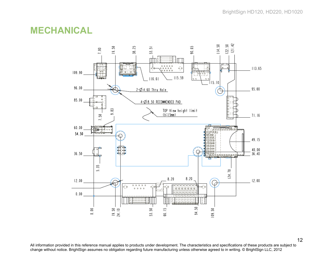# <span id="page-14-0"></span>**MECHANICAL**



All information provided in this reference manual applies to products under development. The characteristics and specifications of these products are subject to change without notice. BrightSign assumes no obligation regarding future manufacturing unless otherwise agreed to in writing. © BrightSign LLC, 2012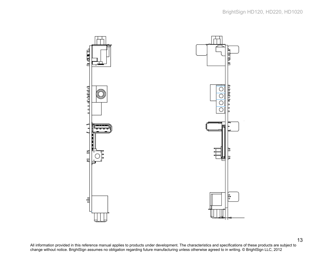

All information provided in this reference manual applies to products under development. The characteristics and specifications of these products are subject to change without notice. BrightSign assumes no obligation regarding future manufacturing unless otherwise agreed to in writing. © BrightSign LLC, 2012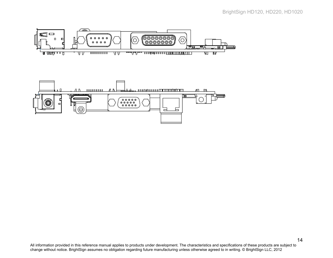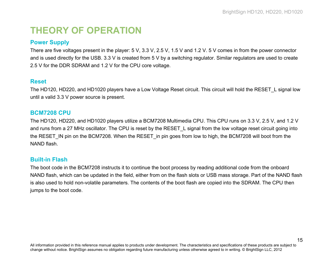# <span id="page-17-0"></span>**THEORY OF OPERATION**

# <span id="page-17-1"></span>**Power Supply**

There are five voltages present in the player: 5 V, 3.3 V, 2.5 V, 1.5 V and 1.2 V. 5 V comes in from the power connector and is used directly for the USB. 3.3 V is created from 5 V by a switching regulator. Similar regulators are used to create 2.5 V for the DDR SDRAM and 1.2 V for the CPU core voltage.

# <span id="page-17-2"></span>**Reset**

The HD120, HD220, and HD1020 players have a Low Voltage Reset circuit. This circuit will hold the RESET\_L signal low until a valid 3.3 V power source is present.

# <span id="page-17-3"></span>**BCM7208 CPU**

The HD120, HD220, and HD1020 players utilize a BCM7208 Multimedia CPU. This CPU runs on 3.3 V, 2.5 V, and 1.2 V and runs from a 27 MHz oscillator. The CPU is reset by the RESET L signal from the low voltage reset circuit going into the RESET IN pin on the BCM7208. When the RESET in pin goes from low to high, the BCM7208 will boot from the NAND flash.

# <span id="page-17-4"></span>**Built-in Flash**

The boot code in the BCM7208 instructs it to continue the boot process by reading additional code from the onboard NAND flash, which can be updated in the field, either from on the flash slots or USB mass storage. Part of the NAND flash is also used to hold non-volatile parameters. The contents of the boot flash are copied into the SDRAM. The CPU then jumps to the boot code.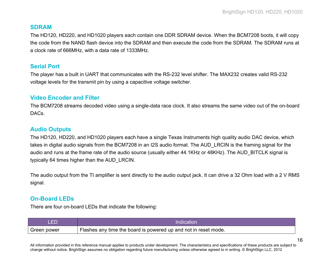### <span id="page-18-0"></span>**SDRAM**

The HD120, HD220, and HD1020 players each contain one DDR SDRAM device. When the BCM7208 boots, it will copy the code from the NAND flash device into the SDRAM and then execute the code from the SDRAM. The SDRAM runs at a clock rate of 666MHz, with a data rate of 1333MHz.

# <span id="page-18-1"></span>**Serial Port**

The player has a built in UART that communicates with the RS-232 level shifter. The MAX232 creates valid RS-232 voltage levels for the transmit pin by using a capacitive voltage switcher.

# <span id="page-18-2"></span>**Video Encoder and Filter**

The BCM7208 streams decoded video using a single-data race clock. It also streams the same video out of the on-board DACs.

# <span id="page-18-3"></span>**Audio Outputs**

The HD120, HD220, and HD1020 players each have a single Texas Instruments high quality audio DAC device, which takes in digital audio signals from the BCM7208 in an I2S audio format. The AUD\_LRCIN is the framing signal for the audio and runs at the frame rate of the audio source (usually either 44.1KHz or 48KHz). The AUD\_BITCLK signal is typically 64 times higher than the AUD\_LRCIN.

The audio output from the TI amplifier is sent directly to the audio output jack. It can drive a 32 Ohm load with a 2 V RMS signal.

# <span id="page-18-4"></span>**On-Board LEDs**

There are four on-board LEDs that indicate the following:

| u.             | Indicatior                                                      |
|----------------|-----------------------------------------------------------------|
| Green<br>power | Flashes any time the board is powered up and not in reset mode. |

All information provided in this reference manual applies to products under development. The characteristics and specifications of these products are subject to change without notice. BrightSign assumes no obligation regarding future manufacturing unless otherwise agreed to in writing. © BrightSign LLC, 2012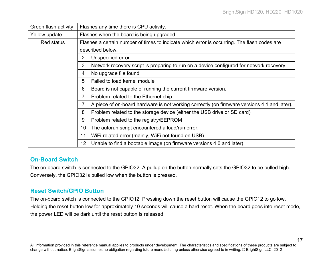| Green flash activity |                                                          | Flashes any time there is CPU activity.                                                     |  |  |  |
|----------------------|----------------------------------------------------------|---------------------------------------------------------------------------------------------|--|--|--|
| Yellow update        |                                                          | Flashes when the board is being upgraded.                                                   |  |  |  |
| Red status           |                                                          | Flashes a certain number of times to indicate which error is occurring. The flash codes are |  |  |  |
|                      |                                                          | described below.                                                                            |  |  |  |
|                      | 2                                                        | Unspecified error                                                                           |  |  |  |
|                      | 3                                                        | Network recovery script is preparing to run on a device configured for network recovery.    |  |  |  |
|                      | 4                                                        | No upgrade file found                                                                       |  |  |  |
|                      | 5                                                        | Failed to load kernel module                                                                |  |  |  |
|                      | 6                                                        | Board is not capable of running the current firmware version.                               |  |  |  |
|                      | 7                                                        | Problem related to the Ethernet chip                                                        |  |  |  |
|                      |                                                          | A piece of on-board hardware is not working correctly (on firmware versions 4.1 and later). |  |  |  |
|                      | 8                                                        | Problem related to the storage device (either the USB drive or SD card)                     |  |  |  |
|                      | 9                                                        | Problem related to the registry/EEPROM                                                      |  |  |  |
|                      | The autorun script encountered a load/run error.<br>10   |                                                                                             |  |  |  |
|                      | 11<br>WiFi-related error (mainly, WiFi not found on USB) |                                                                                             |  |  |  |
|                      | 12 <sup>°</sup>                                          | Unable to find a bootable image (on firmware versions 4.0 and later)                        |  |  |  |

# <span id="page-19-0"></span>**On-Board Switch**

The on-board switch is connected to the GPIO32. A pullup on the button normally sets the GPIO32 to be pulled high. Conversely, the GPIO32 is pulled low when the button is pressed.

# <span id="page-19-1"></span>**Reset Switch/GPIO Button**

The on-board switch is connected to the GPIO12. Pressing down the reset button will cause the GPIO12 to go low. Holding the reset button low for approximately 10 seconds will cause a hard reset. When the board goes into reset mode, the power LED will be dark until the reset button is released.